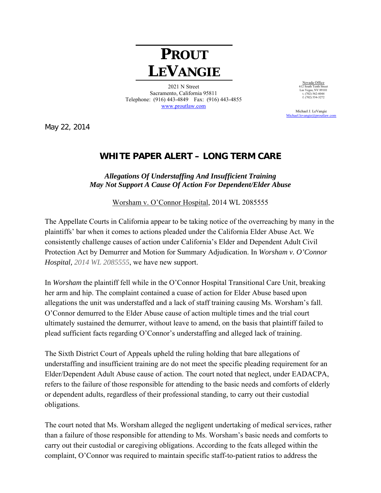## **PROUT LEVANGIE**

2021 N Street Sacramento, California 95811 Telephone: (916) 443-4849 Fax: (916) 443-4855 www.proutlaw.com

Nevada Office 612 South Tenth Street Las Vegas, NV 89101 t. (702) 562-4044  $f. (702) 554-3272$ 

 Michael J. LeVangie Michael.levangie@proutlay

May 22, 2014

## **WHITE PAPER ALERT – LONG TERM CARE**

## *Allegations Of Understaffing And Insufficient Training May Not Support A Cause Of Action For Dependent/Elder Abuse*

Worsham v. O'Connor Hospital, 2014 WL 2085555

The Appellate Courts in California appear to be taking notice of the overreaching by many in the plaintiffs' bar when it comes to actions pleaded under the California Elder Abuse Act. We consistently challenge causes of action under California's Elder and Dependent Adult Civil Protection Act by Demurrer and Motion for Summary Adjudication. In *Worsham v. O'Connor Hospital, 2014 WL 2085555*, we have new support.

In *Worsham* the plaintiff fell while in the O'Connor Hospital Transitional Care Unit, breaking her arm and hip. The complaint contained a cuase of action for Elder Abuse based upon allegations the unit was understaffed and a lack of staff training causing Ms. Worsham's fall. O'Connor demurred to the Elder Abuse cause of action multiple times and the trial court ultimately sustained the demurrer, without leave to amend, on the basis that plaintiff failed to plead sufficient facts regarding O'Connor's understaffing and alleged lack of training.

The Sixth District Court of Appeals upheld the ruling holding that bare allegations of understaffing and insufficient training are do not meet the specific pleading requirement for an Elder/Dependent Adult Abuse cause of action. The court noted that neglect, under EADACPA, refers to the failure of those responsible for attending to the basic needs and comforts of elderly or dependent adults, regardless of their professional standing, to carry out their custodial obligations.

The court noted that Ms. Worsham alleged the negligent undertaking of medical services, rather than a failure of those responsible for attending to Ms. Worsham's basic needs and comforts to carry out their custodial or caregiving obligations. According to the fcats alleged within the complaint, O'Connor was required to maintain specific staff-to-patient ratios to address the